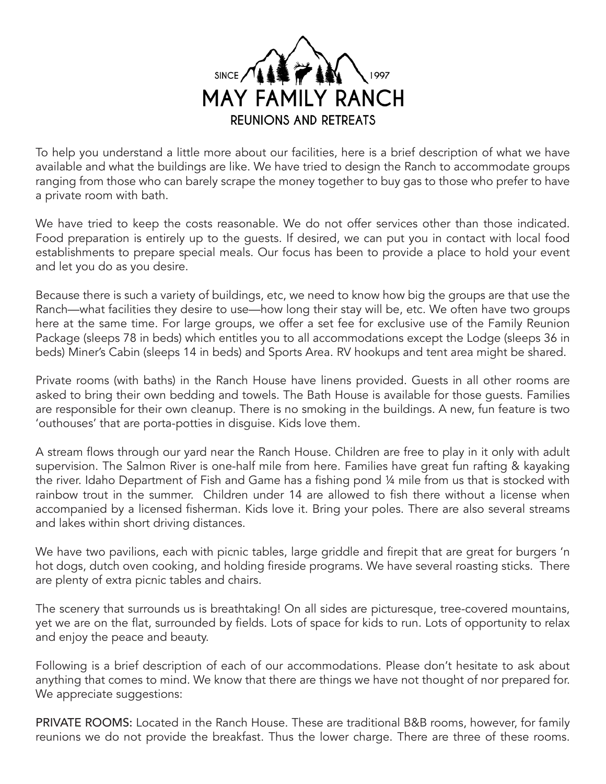

To help you understand a little more about our facilities, here is a brief description of what we have available and what the buildings are like. We have tried to design the Ranch to accommodate groups ranging from those who can barely scrape the money together to buy gas to those who prefer to have a private room with bath.

We have tried to keep the costs reasonable. We do not offer services other than those indicated. Food preparation is entirely up to the guests. If desired, we can put you in contact with local food establishments to prepare special meals. Our focus has been to provide a place to hold your event and let you do as you desire.

Because there is such a variety of buildings, etc, we need to know how big the groups are that use the Ranch—what facilities they desire to use—how long their stay will be, etc. We often have two groups here at the same time. For large groups, we offer a set fee for exclusive use of the Family Reunion Package (sleeps 78 in beds) which entitles you to all accommodations except the Lodge (sleeps 36 in beds) Miner's Cabin (sleeps 14 in beds) and Sports Area. RV hookups and tent area might be shared.

Private rooms (with baths) in the Ranch House have linens provided. Guests in all other rooms are asked to bring their own bedding and towels. The Bath House is available for those guests. Families are responsible for their own cleanup. There is no smoking in the buildings. A new, fun feature is two 'outhouses' that are porta-potties in disguise. Kids love them.

A stream flows through our yard near the Ranch House. Children are free to play in it only with adult supervision. The Salmon River is one-half mile from here. Families have great fun rafting & kayaking the river. Idaho Department of Fish and Game has a fishing pond ¼ mile from us that is stocked with rainbow trout in the summer. Children under 14 are allowed to fish there without a license when accompanied by a licensed fisherman. Kids love it. Bring your poles. There are also several streams and lakes within short driving distances.

We have two pavilions, each with picnic tables, large griddle and firepit that are great for burgers 'n hot dogs, dutch oven cooking, and holding fireside programs. We have several roasting sticks. There are plenty of extra picnic tables and chairs.

The scenery that surrounds us is breathtaking! On all sides are picturesque, tree-covered mountains, yet we are on the flat, surrounded by fields. Lots of space for kids to run. Lots of opportunity to relax and enjoy the peace and beauty.

Following is a brief description of each of our accommodations. Please don't hesitate to ask about anything that comes to mind. We know that there are things we have not thought of nor prepared for. We appreciate suggestions:

PRIVATE ROOMS: Located in the Ranch House. These are traditional B&B rooms, however, for family reunions we do not provide the breakfast. Thus the lower charge. There are three of these rooms.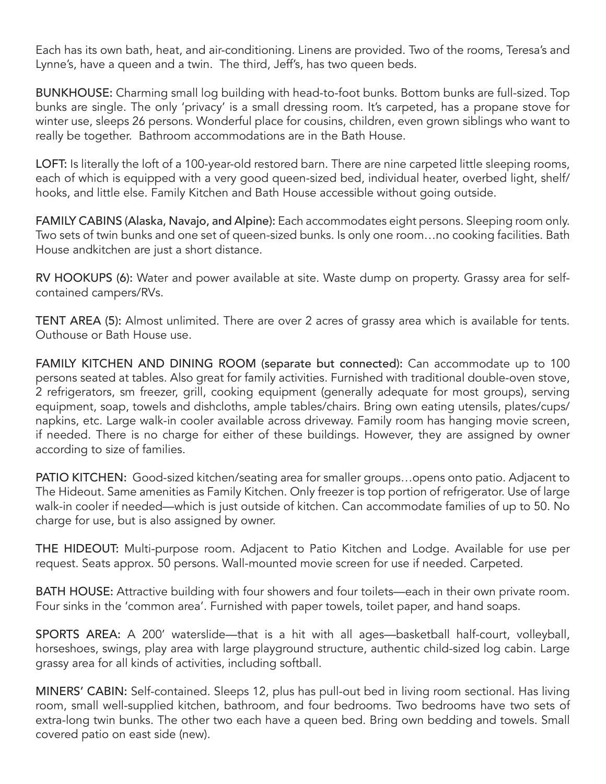Each has its own bath, heat, and air-conditioning. Linens are provided. Two of the rooms, Teresa's and Lynne's, have a queen and a twin. The third, Jeff's, has two queen beds.

BUNKHOUSE: Charming small log building with head-to-foot bunks. Bottom bunks are full-sized. Top bunks are single. The only 'privacy' is a small dressing room. It's carpeted, has a propane stove for winter use, sleeps 26 persons. Wonderful place for cousins, children, even grown siblings who want to really be together. Bathroom accommodations are in the Bath House.

LOFT: Is literally the loft of a 100-year-old restored barn. There are nine carpeted little sleeping rooms, each of which is equipped with a very good queen-sized bed, individual heater, overbed light, shelf/ hooks, and little else. Family Kitchen and Bath House accessible without going outside.

FAMILY CABINS (Alaska, Navajo, and Alpine): Each accommodates eight persons. Sleeping room only. Two sets of twin bunks and one set of queen-sized bunks. Is only one room…no cooking facilities. Bath House andkitchen are just a short distance.

RV HOOKUPS (6): Water and power available at site. Waste dump on property. Grassy area for selfcontained campers/RVs.

TENT AREA (5): Almost unlimited. There are over 2 acres of grassy area which is available for tents. Outhouse or Bath House use.

FAMILY KITCHEN AND DINING ROOM (separate but connected): Can accommodate up to 100 persons seated at tables. Also great for family activities. Furnished with traditional double-oven stove, 2 refrigerators, sm freezer, grill, cooking equipment (generally adequate for most groups), serving equipment, soap, towels and dishcloths, ample tables/chairs. Bring own eating utensils, plates/cups/ napkins, etc. Large walk-in cooler available across driveway. Family room has hanging movie screen, if needed. There is no charge for either of these buildings. However, they are assigned by owner according to size of families.

PATIO KITCHEN: Good-sized kitchen/seating area for smaller groups…opens onto patio. Adjacent to The Hideout. Same amenities as Family Kitchen. Only freezer is top portion of refrigerator. Use of large walk-in cooler if needed—which is just outside of kitchen. Can accommodate families of up to 50. No charge for use, but is also assigned by owner.

THE HIDEOUT: Multi-purpose room. Adjacent to Patio Kitchen and Lodge. Available for use per request. Seats approx. 50 persons. Wall-mounted movie screen for use if needed. Carpeted.

BATH HOUSE: Attractive building with four showers and four toilets—each in their own private room. Four sinks in the 'common area'. Furnished with paper towels, toilet paper, and hand soaps.

SPORTS AREA: A 200' waterslide—that is a hit with all ages—basketball half-court, volleyball, horseshoes, swings, play area with large playground structure, authentic child-sized log cabin. Large grassy area for all kinds of activities, including softball.

MINERS' CABIN: Self-contained. Sleeps 12, plus has pull-out bed in living room sectional. Has living room, small well-supplied kitchen, bathroom, and four bedrooms. Two bedrooms have two sets of extra-long twin bunks. The other two each have a queen bed. Bring own bedding and towels. Small covered patio on east side (new).